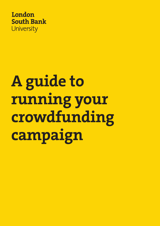

# A guide to running your crowdfunding campaign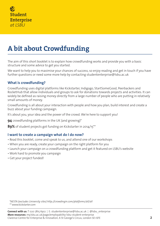

## A bit about Crowdfunding

The aim of this short booklet is to explain how crowdfunding works and provide you with a basic structure and some advice to get you started.

We want to help you to maximise your chances of success, so enjoy reading and get in touch if you have further questions or need some more help by contacting studententerprise@lsbu.ac.uk

#### **What is crowdfunding?**

Crowdfunding uses digital platforms like Kickstarter, Indigogo, StartSomeGood, Peerbackers and RocketHub that allow individuals and groups to ask for donations towards projects and activities. It can widely be defined as raising money directly from a large number of people who are putting in relatively small amounts of money.

Crowdfunding is all about your interaction with people and how you plan, build interest and create a buzz about your funding campaign.

It's about you, your idea and the power of the crowd. We're here to support you!

**94** crowdfunding platforms in the UK (and growing)\*

**89%** of student projects got funding on Kickstarter in 2014/15\*\*

#### **I want to create a campaign what do I do now?**

- Read this booklet, come and speak to us, and attend one of our workshops
- When you are ready, create your campaign on the right platform for you
- Launch your campaign on a crowdfunding platform and get it featured on LSBU's website
- Work hard to promote you campaign
- Get your project funded!

*\*NESTA (excludes University sites) http://crowdingin.com/platforms/all/all \*\* www.kickstarter.com*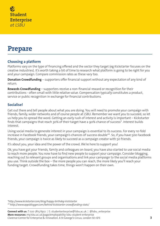

# Prepare

#### **Choosing a platform**

Platforms vary on the type of financing offered and the sector they target (eg Kickstarter focuses on the creative industries). It's worth taking a bit of time to research what platform is going to be right for you and your campaign. Compare commission rates as these vary too.

**Donation Crowdfunding** – supporters offer financial support without any expectation of any kind of return.

**Rewards Crowdfunding** – supporters receive a non-financial reward or recognition for their contributions - often small with little relative value. Compensation typically constitutes a product, service or public recognition in exchange for financial contributions.

#### **Socialise!**

Get out there and tell people about what you are doing. You will need to promote your campaign with friends, family, wider networks and of course people at LSBU. Remember we want you to succeed, so let us help you to spread the word. Getting an early rush of interest and activity is important – Kickstarter finds that campaigns that reach 30% of their target have a 90% chance of success\*. Interest builds interest.

Using social media to generate interest in your campaign is essential to its success. For every 10-fold increase in Facebook friends, your campaign's chances of success double\*\*. So, if you have 500 Facebook friends, your campaign is twice as likely to succeed as a campaign creator with 50 friends.

It's about you, your idea and the power of the crowd. We're here to support you!

Ok, you have got your friends, family and colleagues on board, you have also started to use social media to reach more people. You now have to find new people to support your campaign. Consider blogging, reaching out to relevant groups and organisations and link your campaign to the social media platforms you use. Think outside the box – the more people you can reach, the more likely you'll reach your funding target. Crowdfunding takes time, things won't happen on their own.

*\*http://www.kickstarter.com/blog/happy-birthday-kickstarter \*\* http://www.appsblogger.com/behind-kickstarter-crowdfunding-stats/*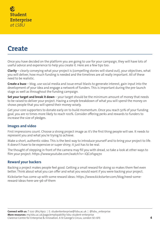

### **Create**

Once you have decided on the platform you are going to use for your campaign, they will have lots of useful advice and experience to help you create it. Here are a few tips too:

**Clarity** – clearly conveying what your project is (compelling stories will stand out), your objectives, what you will deliver, how much funding is needed and the timelines are all really important. All of these need to be realistic.

**Create a buzz** – blog, use social media and issue email blasts to generate interest, gain input into the development of your idea and engage a network of funders. This is important during the pre-launch stage as well as throughout the funding campaign.

**Set your target and break it down** – your target should be the minimum amount of money that needs to be raised to deliver your project. Having a simple breakdown of what you will spend the money on shows people that you will spend their money wisely.

Get your core supporters to donate early on to build momentum. Once you reach 50% of your funding goal, you are 10 times more likely to reach 100%. Consider offering perks and rewards to funders to increase the size of pledges.

#### **Images and video**

First impressions count. Choose a strong project image as it's the first thing people will see. It needs to represent you and what you're trying to achieve.

Make a short, authentic video. This is the best way to introduce yourself and to bring your project to life. It doesn't have to be expensive or super shiny; it just has to be real.

The thought of stepping in front of the camera may fill you with dread, so take a look at other ways to film your project: https://www.youtube.com/watch?v=-iQC0Fqpq70

#### **Reward your backers**

Backing a project makes people feel good. Getting a small reward for doing so makes them feel even better. Think about what you can offer and what you would want if you were backing your project.

Kickstarter has come up with some reward ideas: https://www.kickstarter.com/blog/need-somereward-ideas-here-are-96-of-them